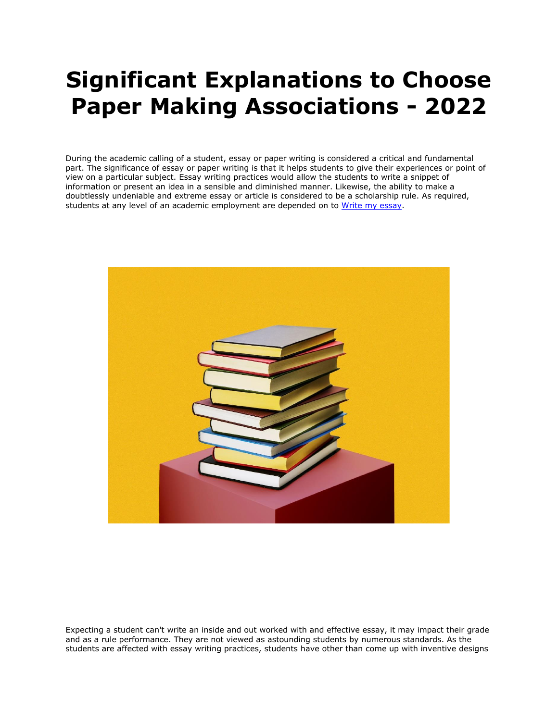## **Significant Explanations to Choose Paper Making Associations - 2022**

During the academic calling of a student, essay or paper writing is considered a critical and fundamental part. The significance of essay or paper writing is that it helps students to give their experiences or point of view on a particular subject. Essay writing practices would allow the students to write a snippet of information or present an idea in a sensible and diminished manner. Likewise, the ability to make a doubtlessly undeniable and extreme essay or article is considered to be a scholarship rule. As required, students at any level of an academic employment are depended on to [Write my essay.](https://essayhours.com/)



Expecting a student can't write an inside and out worked with and effective essay, it may impact their grade and as a rule performance. They are not viewed as astounding students by numerous standards. As the students are affected with essay writing practices, students have other than come up with inventive designs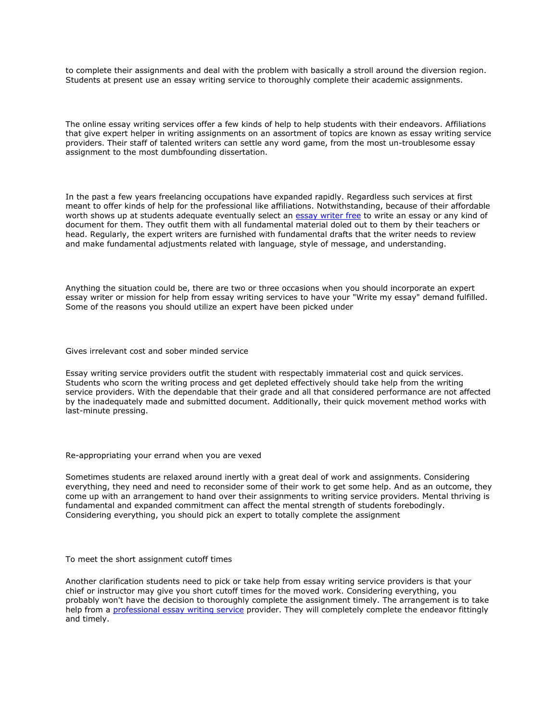to complete their assignments and deal with the problem with basically a stroll around the diversion region. Students at present use an essay writing service to thoroughly complete their academic assignments.

The online essay writing services offer a few kinds of help to help students with their endeavors. Affiliations that give expert helper in writing assignments on an assortment of topics are known as essay writing service providers. Their staff of talented writers can settle any word game, from the most un-troublesome essay assignment to the most dumbfounding dissertation.

In the past a few years freelancing occupations have expanded rapidly. Regardless such services at first meant to offer kinds of help for the professional like affiliations. Notwithstanding, because of their affordable worth shows up at students adequate eventually select an [essay writer free](https://www.essaywriter.college/) to write an essay or any kind of document for them. They outfit them with all fundamental material doled out to them by their teachers or head. Regularly, the expert writers are furnished with fundamental drafts that the writer needs to review and make fundamental adjustments related with language, style of message, and understanding.

Anything the situation could be, there are two or three occasions when you should incorporate an expert essay writer or mission for help from essay writing services to have your "Write my essay" demand fulfilled. Some of the reasons you should utilize an expert have been picked under

Gives irrelevant cost and sober minded service

Essay writing service providers outfit the student with respectably immaterial cost and quick services. Students who scorn the writing process and get depleted effectively should take help from the writing service providers. With the dependable that their grade and all that considered performance are not affected by the inadequately made and submitted document. Additionally, their quick movement method works with last-minute pressing.

## Re-appropriating your errand when you are vexed

Sometimes students are relaxed around inertly with a great deal of work and assignments. Considering everything, they need and need to reconsider some of their work to get some help. And as an outcome, they come up with an arrangement to hand over their assignments to writing service providers. Mental thriving is fundamental and expanded commitment can affect the mental strength of students forebodingly. Considering everything, you should pick an expert to totally complete the assignment

## To meet the short assignment cutoff times

Another clarification students need to pick or take help from essay writing service providers is that your chief or instructor may give you short cutoff times for the moved work. Considering everything, you probably won't have the decision to thoroughly complete the assignment timely. The arrangement is to take help from a [professional essay](https://www.essaywritingservice.college/) writing service provider. They will completely complete the endeavor fittingly and timely.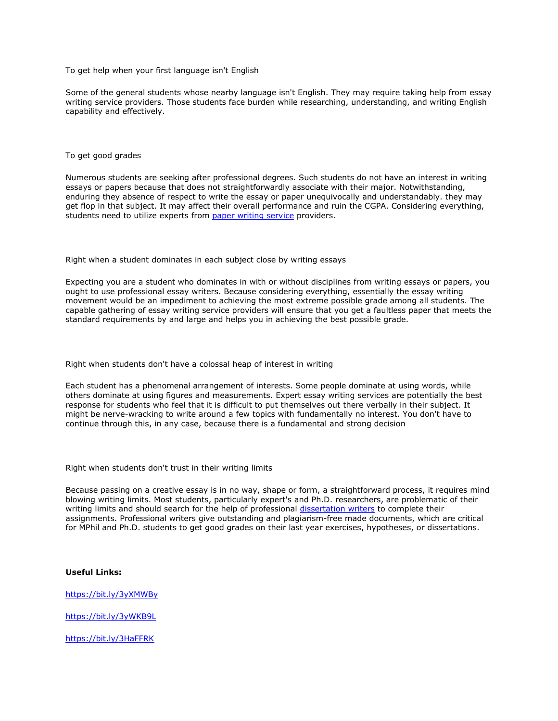To get help when your first language isn't English

Some of the general students whose nearby language isn't English. They may require taking help from essay writing service providers. Those students face burden while researching, understanding, and writing English capability and effectively.

To get good grades

Numerous students are seeking after professional degrees. Such students do not have an interest in writing essays or papers because that does not straightforwardly associate with their major. Notwithstanding, enduring they absence of respect to write the essay or paper unequivocally and understandably. they may get flop in that subject. It may affect their overall performance and ruin the CGPA. Considering everything, students need to utilize experts from [paper writing service](https://www.sharkpapers.com/) providers.

Right when a student dominates in each subject close by writing essays

Expecting you are a student who dominates in with or without disciplines from writing essays or papers, you ought to use professional essay writers. Because considering everything, essentially the essay writing movement would be an impediment to achieving the most extreme possible grade among all students. The capable gathering of essay writing service providers will ensure that you get a faultless paper that meets the standard requirements by and large and helps you in achieving the best possible grade.

Right when students don't have a colossal heap of interest in writing

Each student has a phenomenal arrangement of interests. Some people dominate at using words, while others dominate at using figures and measurements. Expert essay writing services are potentially the best response for students who feel that it is difficult to put themselves out there verbally in their subject. It might be nerve-wracking to write around a few topics with fundamentally no interest. You don't have to continue through this, in any case, because there is a fundamental and strong decision

Right when students don't trust in their writing limits

Because passing on a creative essay is in no way, shape or form, a straightforward process, it requires mind blowing writing limits. Most students, particularly expert's and Ph.D. researchers, are problematic of their writing limits and should search for the help of professional [dissertation writers](https://www.gradschoolgenius.com/professional-dissertation-writers) to complete their assignments. Professional writers give outstanding and plagiarism-free made documents, which are critical for MPhil and Ph.D. students to get good grades on their last year exercises, hypotheses, or dissertations.

## **Useful Links:**

<https://bit.ly/3yXMWBy>

<https://bit.ly/3yWKB9L>

<https://bit.ly/3HaFFRK>